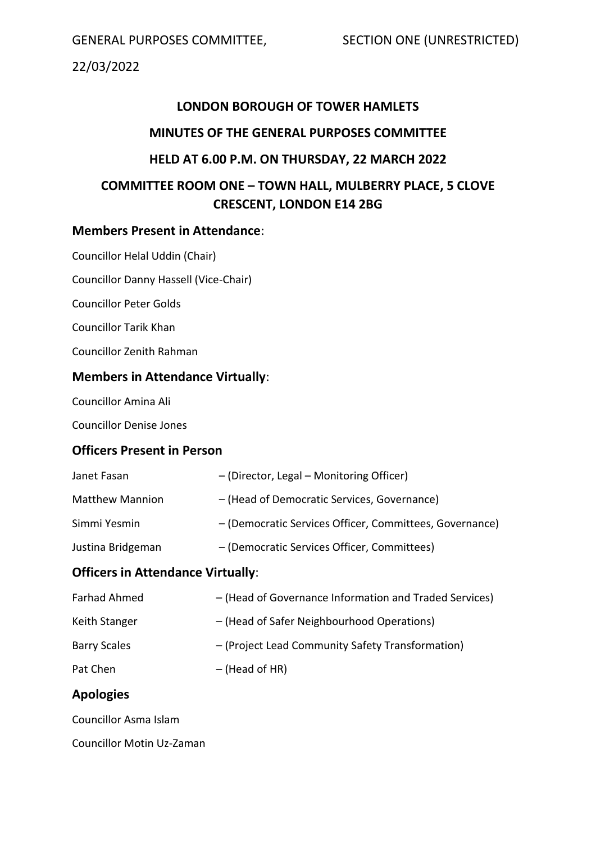GENERAL PURPOSES COMMITTEE, SECTION ONE (UNRESTRICTED)

22/03/2022

# **LONDON BOROUGH OF TOWER HAMLETS**

## **MINUTES OF THE GENERAL PURPOSES COMMITTEE**

## **HELD AT 6.00 P.M. ON THURSDAY, 22 MARCH 2022**

# **COMMITTEE ROOM ONE – TOWN HALL, MULBERRY PLACE, 5 CLOVE CRESCENT, LONDON E14 2BG**

## **Members Present in Attendance**:

Councillor Helal Uddin (Chair)

Councillor Danny Hassell (Vice-Chair)

Councillor Peter Golds

Councillor Tarik Khan

Councillor Zenith Rahman

## **Members in Attendance Virtually**:

Councillor Amina Ali

Councillor Denise Jones

## **Officers Present in Person**

| Janet Fasan            | - (Director, Legal - Monitoring Officer)                |
|------------------------|---------------------------------------------------------|
| <b>Matthew Mannion</b> | - (Head of Democratic Services, Governance)             |
| Simmi Yesmin           | - (Democratic Services Officer, Committees, Governance) |
| Justina Bridgeman      | - (Democratic Services Officer, Committees)             |
|                        |                                                         |

# **Officers in Attendance Virtually**:

| Farhad Ahmed        | - (Head of Governance Information and Traded Services) |
|---------------------|--------------------------------------------------------|
| Keith Stanger       | - (Head of Safer Neighbourhood Operations)             |
| <b>Barry Scales</b> | - (Project Lead Community Safety Transformation)       |
| Pat Chen            | $-$ (Head of HR)                                       |

# **Apologies**

Councillor Asma Islam

Councillor Motin Uz-Zaman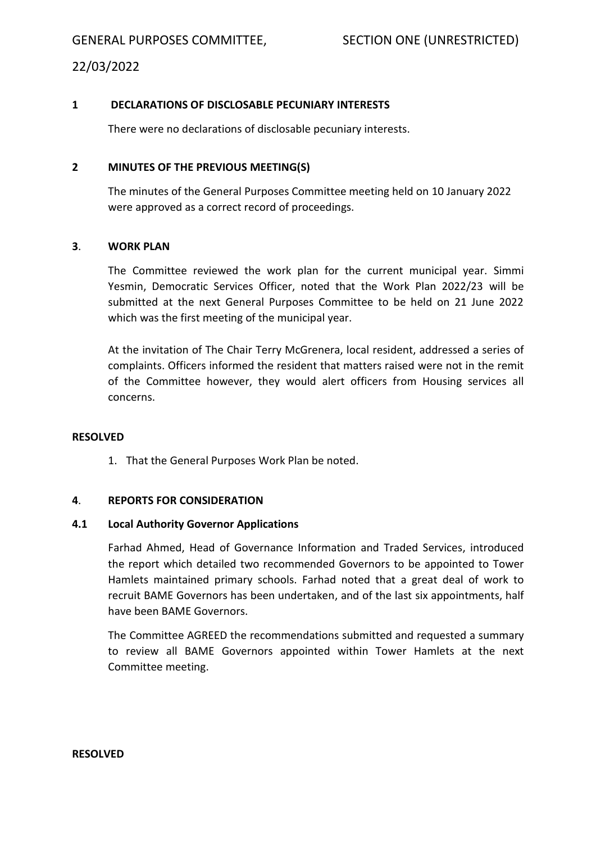#### **1 DECLARATIONS OF DISCLOSABLE PECUNIARY INTERESTS**

There were no declarations of disclosable pecuniary interests.

#### **2 MINUTES OF THE PREVIOUS MEETING(S)**

The minutes of the General Purposes Committee meeting held on 10 January 2022 were approved as a correct record of proceedings.

#### **3**. **WORK PLAN**

The Committee reviewed the work plan for the current municipal year. Simmi Yesmin, Democratic Services Officer, noted that the Work Plan 2022/23 will be submitted at the next General Purposes Committee to be held on 21 June 2022 which was the first meeting of the municipal year.

At the invitation of The Chair Terry McGrenera, local resident, addressed a series of complaints. Officers informed the resident that matters raised were not in the remit of the Committee however, they would alert officers from Housing services all concerns.

#### **RESOLVED**

1. That the General Purposes Work Plan be noted.

#### **4**. **REPORTS FOR CONSIDERATION**

#### **4.1 Local Authority Governor Applications**

Farhad Ahmed, Head of Governance Information and Traded Services, introduced the report which detailed two recommended Governors to be appointed to Tower Hamlets maintained primary schools. Farhad noted that a great deal of work to recruit BAME Governors has been undertaken, and of the last six appointments, half have been BAME Governors.

The Committee AGREED the recommendations submitted and requested a summary to review all BAME Governors appointed within Tower Hamlets at the next Committee meeting.

#### **RESOLVED**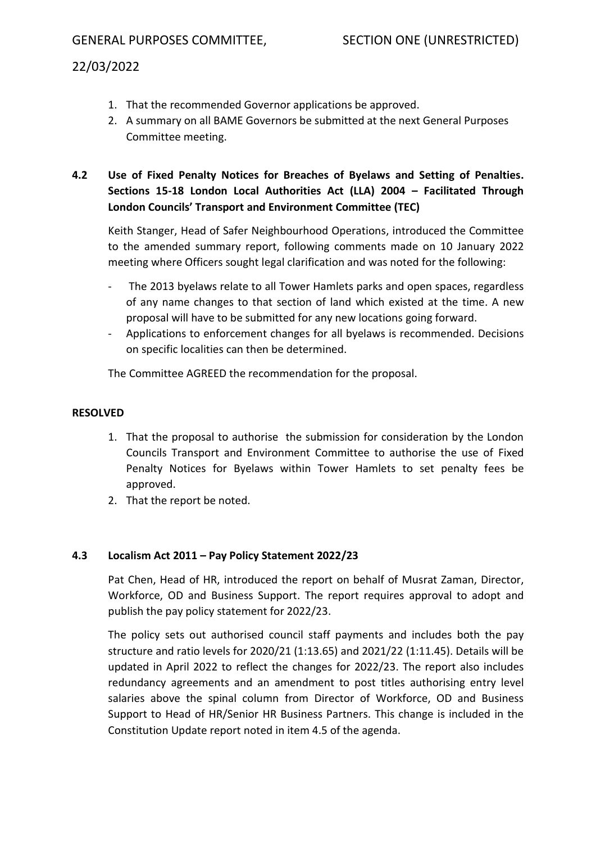- 1. That the recommended Governor applications be approved.
- 2. A summary on all BAME Governors be submitted at the next General Purposes Committee meeting.

# **4.2 Use of Fixed Penalty Notices for Breaches of Byelaws and Setting of Penalties. Sections 15-18 London Local Authorities Act (LLA) 2004 – Facilitated Through London Councils' Transport and Environment Committee (TEC)**

Keith Stanger, Head of Safer Neighbourhood Operations, introduced the Committee to the amended summary report, following comments made on 10 January 2022 meeting where Officers sought legal clarification and was noted for the following:

- The 2013 byelaws relate to all Tower Hamlets parks and open spaces, regardless of any name changes to that section of land which existed at the time. A new proposal will have to be submitted for any new locations going forward.
- Applications to enforcement changes for all byelaws is recommended. Decisions on specific localities can then be determined.

The Committee AGREED the recommendation for the proposal.

#### **RESOLVED**

- 1. That the proposal to authorise the submission for consideration by the London Councils Transport and Environment Committee to authorise the use of Fixed Penalty Notices for Byelaws within Tower Hamlets to set penalty fees be approved.
- 2. That the report be noted.

#### **4.3 Localism Act 2011 – Pay Policy Statement 2022/23**

Pat Chen, Head of HR, introduced the report on behalf of Musrat Zaman, Director, Workforce, OD and Business Support. The report requires approval to adopt and publish the pay policy statement for 2022/23.

The policy sets out authorised council staff payments and includes both the pay structure and ratio levels for 2020/21 (1:13.65) and 2021/22 (1:11.45). Details will be updated in April 2022 to reflect the changes for 2022/23. The report also includes redundancy agreements and an amendment to post titles authorising entry level salaries above the spinal column from Director of Workforce, OD and Business Support to Head of HR/Senior HR Business Partners. This change is included in the Constitution Update report noted in item 4.5 of the agenda.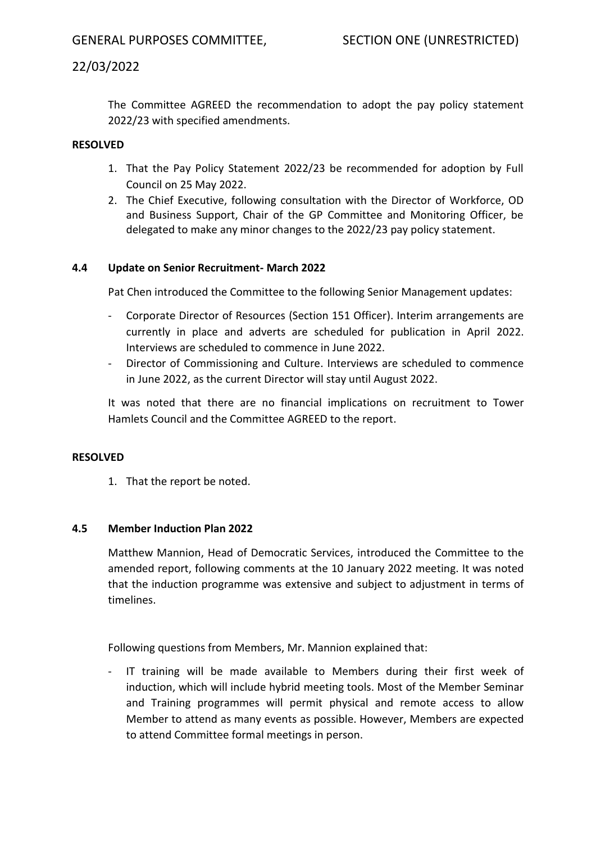The Committee AGREED the recommendation to adopt the pay policy statement 2022/23 with specified amendments.

### **RESOLVED**

- 1. That the Pay Policy Statement 2022/23 be recommended for adoption by Full Council on 25 May 2022.
- 2. The Chief Executive, following consultation with the Director of Workforce, OD and Business Support, Chair of the GP Committee and Monitoring Officer, be delegated to make any minor changes to the 2022/23 pay policy statement.

### **4.4 Update on Senior Recruitment- March 2022**

Pat Chen introduced the Committee to the following Senior Management updates:

- Corporate Director of Resources (Section 151 Officer). Interim arrangements are currently in place and adverts are scheduled for publication in April 2022. Interviews are scheduled to commence in June 2022.
- Director of Commissioning and Culture. Interviews are scheduled to commence in June 2022, as the current Director will stay until August 2022.

It was noted that there are no financial implications on recruitment to Tower Hamlets Council and the Committee AGREED to the report.

#### **RESOLVED**

1. That the report be noted.

#### **4.5 Member Induction Plan 2022**

Matthew Mannion, Head of Democratic Services, introduced the Committee to the amended report, following comments at the 10 January 2022 meeting. It was noted that the induction programme was extensive and subject to adjustment in terms of timelines.

Following questions from Members, Mr. Mannion explained that:

IT training will be made available to Members during their first week of induction, which will include hybrid meeting tools. Most of the Member Seminar and Training programmes will permit physical and remote access to allow Member to attend as many events as possible. However, Members are expected to attend Committee formal meetings in person.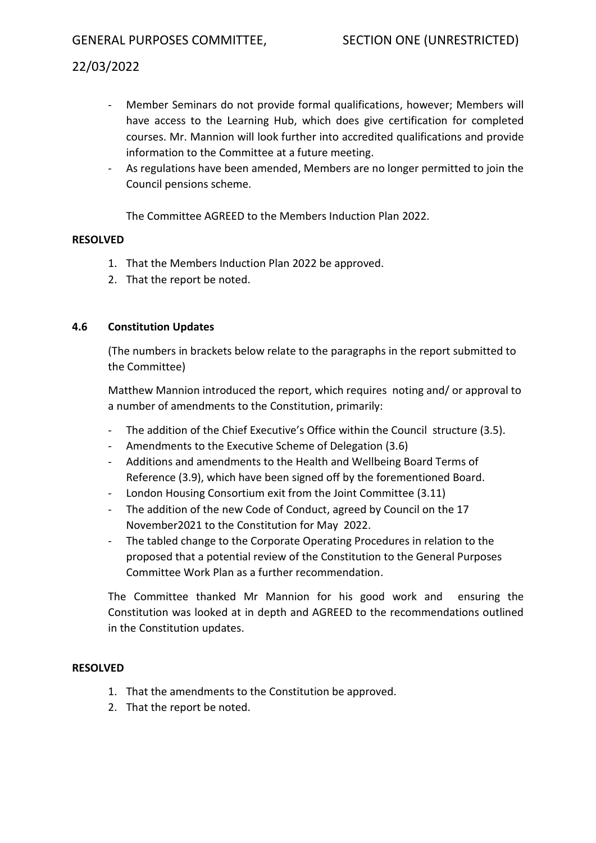- Member Seminars do not provide formal qualifications, however; Members will have access to the Learning Hub, which does give certification for completed courses. Mr. Mannion will look further into accredited qualifications and provide information to the Committee at a future meeting.
- As regulations have been amended, Members are no longer permitted to join the Council pensions scheme.

The Committee AGREED to the Members Induction Plan 2022.

### **RESOLVED**

- 1. That the Members Induction Plan 2022 be approved.
- 2. That the report be noted.

### **4.6 Constitution Updates**

(The numbers in brackets below relate to the paragraphs in the report submitted to the Committee)

Matthew Mannion introduced the report, which requires noting and/ or approval to a number of amendments to the Constitution, primarily:

- The addition of the Chief Executive's Office within the Council structure (3.5).
- Amendments to the Executive Scheme of Delegation (3.6)
- Additions and amendments to the Health and Wellbeing Board Terms of Reference (3.9), which have been signed off by the forementioned Board.
- London Housing Consortium exit from the Joint Committee (3.11)
- The addition of the new Code of Conduct, agreed by Council on the 17 November2021 to the Constitution for May 2022.
- The tabled change to the Corporate Operating Procedures in relation to the proposed that a potential review of the Constitution to the General Purposes Committee Work Plan as a further recommendation.

The Committee thanked Mr Mannion for his good work and ensuring the Constitution was looked at in depth and AGREED to the recommendations outlined in the Constitution updates.

#### **RESOLVED**

- 1. That the amendments to the Constitution be approved.
- 2. That the report be noted.